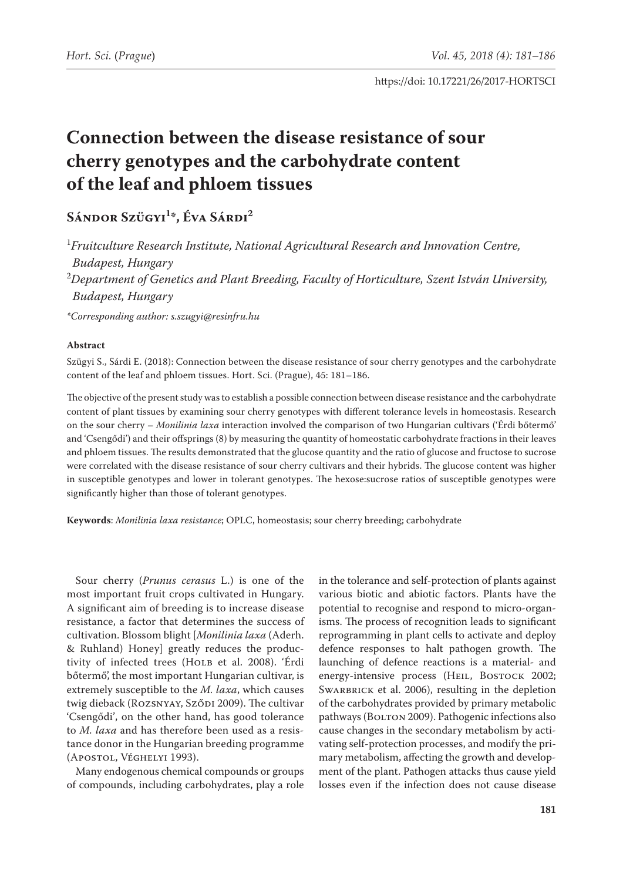# **Connection between the disease resistance of sour cherry genotypes and the carbohydrate content of the leaf and phloem tissues**

## **Sándor Szügyi1 \*, Éva Sárdi2**

1 *Fruitculture Research Institute, National Agricultural Research and Innovation Centre, Budapest, Hungary* 2 *Department of Genetics and Plant Breeding, Faculty of Horticulture, Szent István University,* 

*Budapest, Hungary*

*\*Corresponding author: s.szugyi@resinfru.hu*

#### **Abstract**

Szügyi S., Sárdi E. (2018): Connection between the disease resistance of sour cherry genotypes and the carbohydrate content of the leaf and phloem tissues. Hort. Sci. (Prague), 45: 181–186.

The objective of the present study was to establish a possible connection between disease resistance and the carbohydrate content of plant tissues by examining sour cherry genotypes with different tolerance levels in homeostasis. Research on the sour cherry – *Monilinia laxa* interaction involved the comparison of two Hungarian cultivars ('Érdi bőtermő' and 'Csengődi') and their offsprings (8) by measuring the quantity of homeostatic carbohydrate fractions in their leaves and phloem tissues. The results demonstrated that the glucose quantity and the ratio of glucose and fructose to sucrose were correlated with the disease resistance of sour cherry cultivars and their hybrids. The glucose content was higher in susceptible genotypes and lower in tolerant genotypes. The hexose:sucrose ratios of susceptible genotypes were significantly higher than those of tolerant genotypes.

**Keywords**: *Monilinia laxa resistance*; OPLC, homeostasis; sour cherry breeding; carbohydrate

Sour cherry (*Prunus cerasus* L.) is one of the most important fruit crops cultivated in Hungary. A significant aim of breeding is to increase disease resistance, a factor that determines the success of cultivation. Blossom blight [*Monilinia laxa* (Aderh. & Ruhland) Honey] greatly reduces the productivity of infected trees (HOLB et al. 2008). 'Érdi bőtermő', the most important Hungarian cultivar, is extremely susceptible to the *M. laxa*, which causes twig dieback (ROZSNYAY, SZŐDI 2009). The cultivar 'Csengődi', on the other hand, has good tolerance to *M. laxa* and has therefore been used as a resistance donor in the Hungarian breeding programme (Apostol, Véghelyi 1993).

Many endogenous chemical compounds or groups of compounds, including carbohydrates, play a role in the tolerance and self-protection of plants against various biotic and abiotic factors. Plants have the potential to recognise and respond to micro-organisms. The process of recognition leads to significant reprogramming in plant cells to activate and deploy defence responses to halt pathogen growth. The launching of defence reactions is a material- and energy-intensive process (HEIL, BOSTOCK 2002; SWARBRICK et al. 2006), resulting in the depletion of the carbohydrates provided by primary metabolic pathways (BOLTON 2009). Pathogenic infections also cause changes in the secondary metabolism by activating self-protection processes, and modify the primary metabolism, affecting the growth and development of the plant. Pathogen attacks thus cause yield losses even if the infection does not cause disease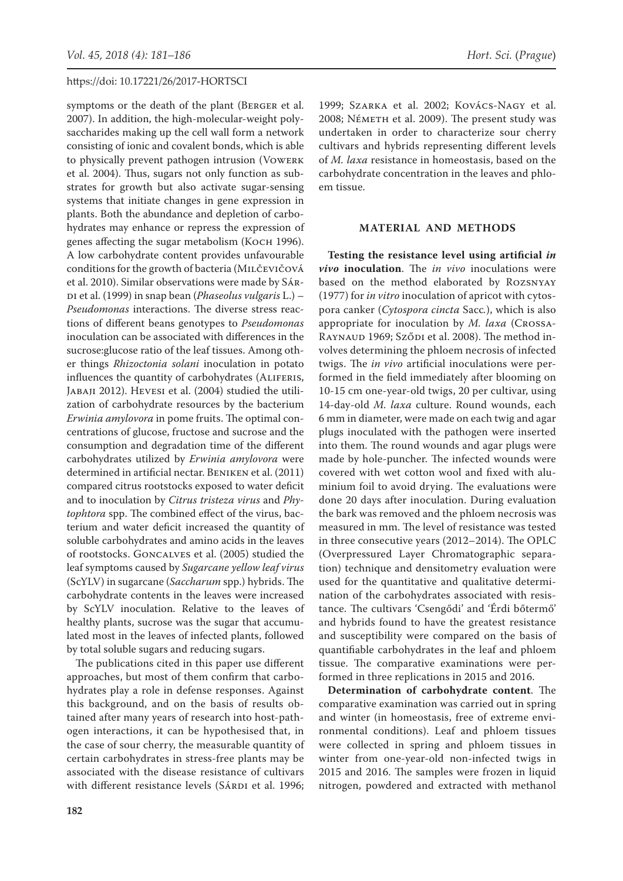symptoms or the death of the plant (Berger et al. 2007). In addition, the high-molecular-weight polysaccharides making up the cell wall form a network consisting of ionic and covalent bonds, which is able to physically prevent pathogen intrusion (Vowerk et al. 2004). Thus, sugars not only function as substrates for growth but also activate sugar-sensing systems that initiate changes in gene expression in plants. Both the abundance and depletion of carbohydrates may enhance or repress the expression of genes affecting the sugar metabolism (Косн 1996). A low carbohydrate content provides unfavourable conditions for the growth of bacteria (Milčevičová et al. 2010). Similar observations were made by Sárdi et al. (1999) in snap bean (*Phaseolus vulgaris* L.) – *Pseudomonas* interactions. The diverse stress reactions of different beans genotypes to *Pseudomonas* inoculation can be associated with differences in the sucrose:glucose ratio of the leaf tissues. Among other things *Rhizoctonia solani* inoculation in potato influences the quantity of carbohydrates (ALIFERIS, JABAJI 2012). HEVESI et al. (2004) studied the utilization of carbohydrate resources by the bacterium *Erwinia amylovora* in pome fruits. The optimal concentrations of glucose, fructose and sucrose and the consumption and degradation time of the different carbohydrates utilized by *Erwinia amylovora* were determined in artificial nectar. Beniken et al. (2011) compared citrus rootstocks exposed to water deficit and to inoculation by *Citrus tristeza virus* and *Phytophtora* spp. The combined effect of the virus, bacterium and water deficit increased the quantity of soluble carbohydrates and amino acids in the leaves of rootstocks. Goncalves et al. (2005) studied the leaf symptoms caused by *Sugarcane yellow leaf virus*  (ScYLV) in sugarcane (*Saccharum* spp.) hybrids. The carbohydrate contents in the leaves were increased by ScYLV inoculation. Relative to the leaves of healthy plants, sucrose was the sugar that accumulated most in the leaves of infected plants, followed by total soluble sugars and reducing sugars.

The publications cited in this paper use different approaches, but most of them confirm that carbohydrates play a role in defense responses. Against this background, and on the basis of results obtained after many years of research into host-pathogen interactions, it can be hypothesised that, in the case of sour cherry, the measurable quantity of certain carbohydrates in stress-free plants may be associated with the disease resistance of cultivars with different resistance levels (SÁRDI et al. 1996;

1999; Szarka et al. 2002; Kovács-Nagy et al. 2008; Németh et al. 2009). The present study was undertaken in order to characterize sour cherry cultivars and hybrids representing different levels of *M. laxa* resistance in homeostasis, based on the carbohydrate concentration in the leaves and phloem tissue.

### **MATERIAL AND METHODS**

**Testing the resistance level using artificial** *in vivo* **inoculation**. The *in vivo* inoculations were based on the method elaborated by Rozsnyay (1977) for *in vitro* inoculation of apricot with cytospora canker (*Cytospora cincta* Sacc*.*), which is also appropriate for inoculation by *M. laxa* (Crossa-RAYNAUD 1969; Sződi et al. 2008). The method involves determining the phloem necrosis of infected twigs. The *in vivo* artificial inoculations were performed in the field immediately after blooming on 10-15 cm one-year-old twigs, 20 per cultivar, using 14-day-old *M. laxa* culture. Round wounds, each 6 mm in diameter, were made on each twig and agar plugs inoculated with the pathogen were inserted into them. The round wounds and agar plugs were made by hole-puncher. The infected wounds were covered with wet cotton wool and fixed with aluminium foil to avoid drying. The evaluations were done 20 days after inoculation. During evaluation the bark was removed and the phloem necrosis was measured in mm. The level of resistance was tested in three consecutive years (2012–2014). The OPLC (Overpressured Layer Chromatographic separation) technique and densitometry evaluation were used for the quantitative and qualitative determination of the carbohydrates associated with resistance. The cultivars 'Csengődi' and 'Érdi bőtermő' and hybrids found to have the greatest resistance and susceptibility were compared on the basis of quantifiable carbohydrates in the leaf and phloem tissue. The comparative examinations were performed in three replications in 2015 and 2016.

**Determination of carbohydrate content**. The comparative examination was carried out in spring and winter (in homeostasis, free of extreme environmental conditions). Leaf and phloem tissues were collected in spring and phloem tissues in winter from one-year-old non-infected twigs in 2015 and 2016. The samples were frozen in liquid nitrogen, powdered and extracted with methanol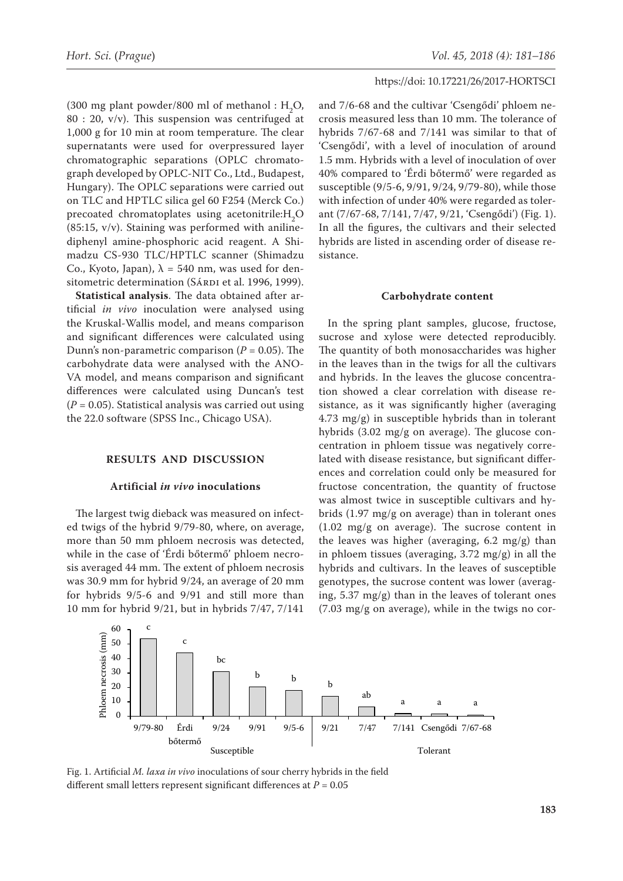(300 mg plant powder/800 ml of methanol :  $H_2O$ , 80 : 20, v/v). This suspension was centrifuged at 1,000 g for 10 min at room temperature. The clear supernatants were used for overpressured layer chromatographic separations (OPLC chromatograph developed by OPLC-NIT Co., Ltd., Budapest, Hungary). The OPLC separations were carried out on TLC and HPTLC silica gel 60 F254 (Merck Co.) precoated chromatoplates using acetonitrile: $H_2O$ (85:15, v/v). Staining was performed with anilinediphenyl amine-phosphoric acid reagent. A Shimadzu CS-930 TLC/HPTLC scanner (Shimadzu Co., Kyoto, Japan),  $\lambda = 540$  nm, was used for densitometric determination (SÁRDI et al. 1996, 1999).

**Statistical analysis**. The data obtained after artificial *in vivo* inoculation were analysed using the Kruskal-Wallis model, and means comparison and significant differences were calculated using Dunn's non-parametric comparison  $(P = 0.05)$ . The carbohydrate data were analysed with the ANO-VA model, and means comparison and significant differences were calculated using Duncan's test (*P* = 0.05). Statistical analysis was carried out using the 22.0 software (SPSS Inc., Chicago USA).

#### **RESULTS AND DISCUSSION**

#### **Artificial** *in vivo* **inoculations**

The largest twig dieback was measured on infected twigs of the hybrid 9/79-80, where, on average, more than 50 mm phloem necrosis was detected, while in the case of 'Érdi bőtermő' phloem necrosis averaged 44 mm. The extent of phloem necrosis was 30.9 mm for hybrid 9/24, an average of 20 mm for hybrids 9/5-6 and 9/91 and still more than 10 mm for hybrid 9/21, but in hybrids 7/47, 7/141

and 7/6-68 and the cultivar 'Csengődi' phloem necrosis measured less than 10 mm. The tolerance of hybrids 7/67-68 and 7/141 was similar to that of 'Csengődi', with a level of inoculation of around 1.5 mm. Hybrids with a level of inoculation of over 40% compared to 'Érdi bőtermő' were regarded as susceptible (9/5-6, 9/91, 9/24, 9/79-80), while those with infection of under 40% were regarded as tolerant (7/67-68, 7/141, 7/47, 9/21, 'Csengődi') (Fig. 1). In all the figures, the cultivars and their selected hybrids are listed in ascending order of disease resistance.

#### **Carbohydrate content**

In the spring plant samples, glucose, fructose, sucrose and xylose were detected reproducibly. The quantity of both monosaccharides was higher in the leaves than in the twigs for all the cultivars and hybrids. In the leaves the glucose concentration showed a clear correlation with disease resistance, as it was significantly higher (averaging 4.73 mg/g) in susceptible hybrids than in tolerant hybrids (3.02 mg/g on average). The glucose concentration in phloem tissue was negatively correlated with disease resistance, but significant differences and correlation could only be measured for fructose concentration, the quantity of fructose was almost twice in susceptible cultivars and hybrids (1.97 mg/g on average) than in tolerant ones (1.02 mg/g on average). The sucrose content in the leaves was higher (averaging, 6.2 mg/g) than in phloem tissues (averaging, 3.72 mg/g) in all the hybrids and cultivars. In the leaves of susceptible genotypes, the sucrose content was lower (averaging, 5.37 mg/g) than in the leaves of tolerant ones (7.03 mg/g on average), while in the twigs no cor-



10 different small letters represent significant differences at *P* = 0.05 Fig. 1. Artificial *M. laxa in vivo* inoculations of sour cherry hybrids in the field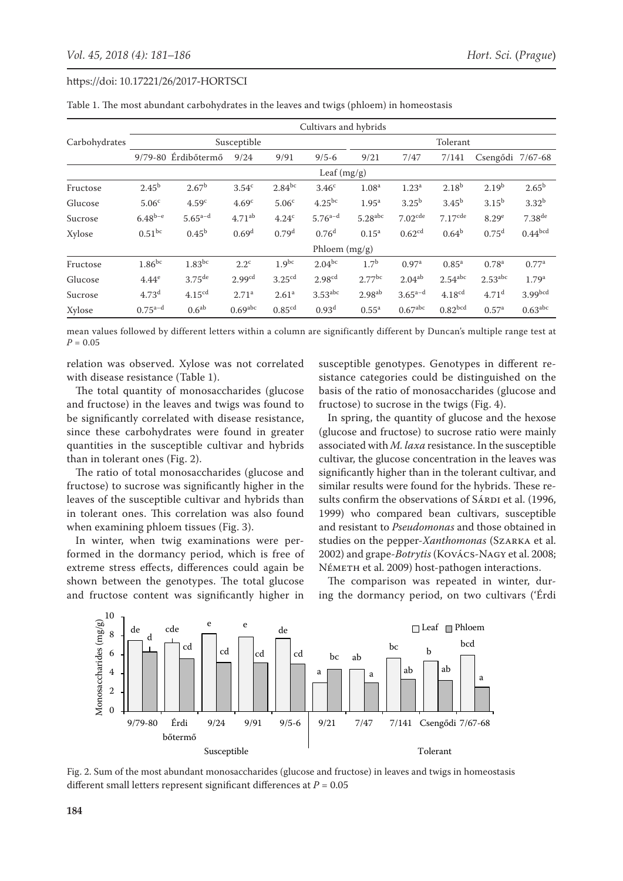|               | Cultivars and hybrids |                       |                    |                      |                    |                       |                       |                       |                       |                      |
|---------------|-----------------------|-----------------------|--------------------|----------------------|--------------------|-----------------------|-----------------------|-----------------------|-----------------------|----------------------|
| Carbohydrates | Susceptible           |                       |                    |                      |                    | Tolerant              |                       |                       |                       |                      |
|               |                       | 9/79-80 Érdibőtermő   | 9/24               | 9/91                 | $9/5 - 6$          | 9/21                  | 7/47                  | 7/141                 | Csengődi 7/67-68      |                      |
|               | Leaf $(mg/g)$         |                       |                    |                      |                    |                       |                       |                       |                       |                      |
| Fructose      | $2.45^{b}$            | 2.67 <sup>b</sup>     | 3.54 <sup>c</sup>  | $2.84^{bc}$          | 3.46 <sup>c</sup>  | 1.08 <sup>a</sup>     | 1.23 <sup>a</sup>     | $2.18^{b}$            | 2.19 <sup>b</sup>     | $2.65^{\rm b}$       |
| Glucose       | 5.06 <sup>c</sup>     | 4.59 <sup>c</sup>     | 4.69 <sup>c</sup>  | 5.06 <sup>c</sup>    | $4.25^{bc}$        | 1.95 <sup>a</sup>     | 3.25 <sup>b</sup>     | 3.45 <sup>b</sup>     | $3.15^{b}$            | 3.32 <sup>b</sup>    |
| Sucrose       | $6.48^{b-e}$          | $5.65^{\mathrm{a-d}}$ | 4.71 <sup>ab</sup> | 4.24c                | $5.76^{a-d}$       | $5.28$ <sup>abc</sup> | 7.02 <sup>cde</sup>   | $7.17$ <sup>cde</sup> | 8.29 <sup>e</sup>     | $7.38$ <sup>de</sup> |
| Xylose        | $0.51$ <sub>bc</sub>  | $0.45^{b}$            | 0.69 <sup>d</sup>  | 0.79 <sup>d</sup>    | 0.76 <sup>d</sup>  | $0.15^{a}$            | 0.62 <sup>cd</sup>    | $0.64^{b}$            | 0.75 <sup>d</sup>     | $0.44^{bcd}$         |
|               | Phloem (mg/g)         |                       |                    |                      |                    |                       |                       |                       |                       |                      |
| Fructose      | $1.86^{bc}$           | $1.83^{bc}$           | $2.2^{\circ}$      | $1.9^{bc}$           | $2.04^{bc}$        | 1.7 <sup>b</sup>      | 0.97 <sup>a</sup>     | $0.85^{\rm a}$        | 0.78 <sup>a</sup>     | 0.77 <sup>a</sup>    |
| Glucose       | 4.44 <sup>e</sup>     | $3.75$ <sup>de</sup>  | 2.99 <sup>cd</sup> | $3.25$ <sup>cd</sup> | 2.98 <sup>cd</sup> | $2.77$ <sup>bc</sup>  | 2.04 <sup>ab</sup>    | $2.54$ <sup>abc</sup> | $2.53$ <sup>abc</sup> | 1.79 <sup>a</sup>    |
| Sucrose       | 4.73 <sup>d</sup>     | 4.15 <sup>cd</sup>    | 2.71 <sup>a</sup>  | 2.61 <sup>a</sup>    | $3.53$ abc         | 2.98 <sup>ab</sup>    | $3.65^{a-d}$          | 4.18 <sup>cd</sup>    | 4.71 <sup>d</sup>     | 3.99 <sub>bcd</sub>  |
| Xylose        | $0.75^{a-d}$          | 0.6 <sup>ab</sup>     | $0.69$ abc         | 0.85 <sup>cd</sup>   | 0.93 <sup>d</sup>  | $0.55^{\rm a}$        | $0.67$ <sup>abc</sup> | 0.82 <sup>bcd</sup>   | 0.57 <sup>a</sup>     | $0.63$ abc           |

Table 1. The most abundant carbohydrates in the leaves and twigs (phloem) in homeostasis

mean values followed by different letters within a column are significantly different by Duncan's multiple range test at *P* = 0.05

relation was observed. Xylose was not correlated with disease resistance (Table 1).

The total quantity of monosaccharides (glucose and fructose) in the leaves and twigs was found to be significantly correlated with disease resistance, since these carbohydrates were found in greater quantities in the susceptible cultivar and hybrids c than in tolerant ones (Fig. 2).  $\frac{30}{1}$ 

The ratio of total monosaccharides (glucose and fructose) to sucrose was significantly higher in the leaves of the susceptible cultivar and hybrids than sul in tolerant ones. This correlation was also found when examining phloem tissues (Fig. 3). Ph<br>Philos (Complete Complete Complete Complete Complete Complete Complete Complete Complete Complete Complete Co<br>Antiquety (Marcous Complete Complete Complete Complete Complete Complete Complete Complete Complete Complete

In winter, when twig examinations were performed in the dormancy period, which is free of extreme stress effects, differences could again be shown between the genotypes. The total glucose and fructose content was significantly higher in

susceptible genotypes. Genotypes in different resistance categories could be distinguished on the basis of the ratio of monosaccharides (glucose and fructose) to sucrose in the twigs (Fig. 4).

In spring, the quantity of glucose and the hexose (glucose and fructose) to sucrose ratio were mainly associated with *M. laxa* resistance. In the susceptible cultivar, the glucose concentration in the leaves was significantly higher than in the tolerant cultivar, and similar results were found for the hybrids. These results confirm the observations of SÁRDI et al. (1996, 1999) who compared bean cultivars, susceptible and resistant to *Pseudomonas* and those obtained in studies on the pepper-*Xanthomonas* (Szarka et al. od, which is free of 2002) and grape-*Botrytis* (Kovács-Nagy et al. 2008; NÉMETH et al. 2009) host-pathogen interactions.

es. The total glucose The comparison was repeated in winter, during the dormancy period, on two cultivars ('Érdi



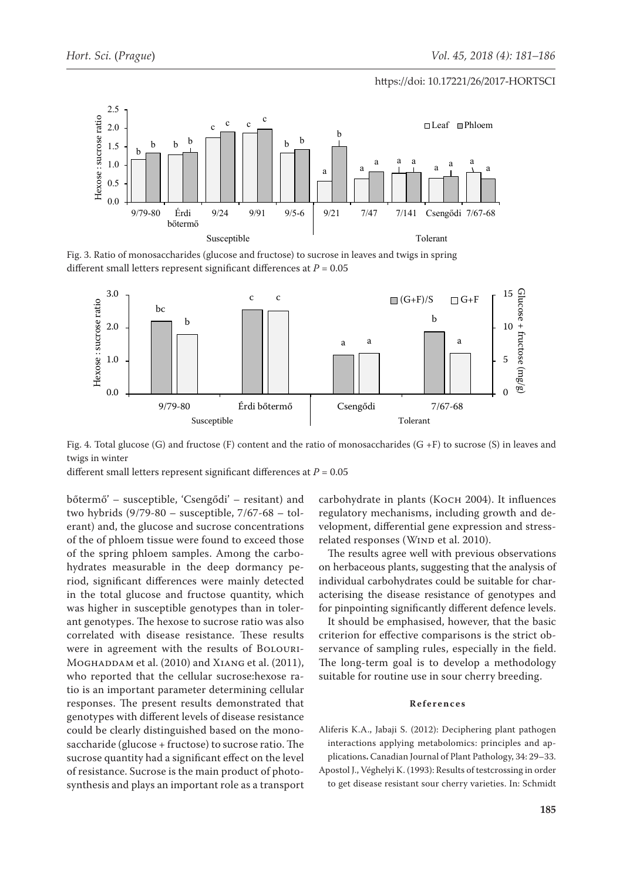#### $S_{\text{S}}$  subset of  $S_{\text{S}}$  and  $S_{\text{S}}$  and  $S_{\text{S}}$  and  $S_{\text{S}}$  and  $S_{\text{S}}$  and  $S_{\text{S}}$  and  $S_{\text{S}}$  and  $S_{\text{S}}$  and  $S_{\text{S}}$  and  $S_{\text{S}}$  and  $S_{\text{S}}$  and  $S_{\text{S}}$  and  $S_{\text{S}}$  and  $S_{\text{S}}$  and  $S_{\text$ https://doi: 10.17221/26/2017-HORTSCI



Fig. 3. Ratio of monosaccharides (glucose and fructose) to sucrose in leaves and twigs in spring different small letters represent significant differences at *P* = 0.05



Fig. 4. Total glucose (G) and fructose (F) content and the ratio of monosaccharides (G +F) to sucrose (S) in leaves and twigs in winter ordal glucose (G) and fructose (F) content and the ratio of monosaccharides (G +F) to sucrose (S).  $\mathbf{b} = \mathbf{b} \cdot \mathbf{b} + \mathbf{b} \cdot \mathbf{b} + \mathbf{b} \cdot \mathbf{b} + \mathbf{b} \cdot \mathbf{b} + \mathbf{b} \cdot \mathbf{b} + \mathbf{b} \cdot \mathbf{b} + \mathbf{b} \cdot \mathbf{b} + \mathbf{b} \cdot \mathbf{b} + \mathbf{b} \cdot \mathbf{b} + \mathbf{b} \cdot \mathbf{b} + \mathbf{b} \cdot \mathbf{b} + \mathbf{b} \cdot \mathbf{b} + \mathbf{b} \cdot \mathbf{b} + \mathbf{b} \cdot \mathbf{b} + \mathbf$ 

different small letters represent significant differences at  $P = 0.05$ 

bőtermő' – susceptible, 'Csengődi' – resitant) and 1.0 two hybrids (9/79-80 – susceptible, 7/67-68 – tolerant) and, the glucose and sucrose concentrations 0.0 of the of phloem tissue were found to exceed those Felated responses (WIND e of the spring phloem samples. Among the carbo- The results agree w hydrates measurable in the deep dormancy period, significant differences were mainly detected in the total glucose and fructose quantity, which was higher in susceptible genotypes than in tolerant genotypes. The hexose to sucrose ratio was also correlated with disease resistance. These results were in agreement with the results of BOLOURI-MoGHADDAM et al. (2010) and XIANG et al. (2011), who reported that the cellular sucrose:hexose ratio is an important parameter determining cellular responses. The present results demonstrated that genotypes with different levels of disease resistance could be clearly distinguished based on the monosaccharide (glucose + fructose) to sucrose ratio. The sucrose quantity had a significant effect on the level of resistance. Sucrose is the main product of photosynthesis and plays an important role as a transport ri<br>en<br>ny

carbohydrate in plants (Косн 2004). It influences regulatory mechanisms, including growth and development, differential gene expression and stress-0 related responses (WIND et al. 2010). G)<br>H<br>ov<br>on

The results agree well with previous observations on herbaceous plants, suggesting that the analysis of individual carbohydrates could be suitable for characterising the disease resistance of genotypes and for pinpointing significantly different defence levels.

It should be emphasised, however, that the basic criterion for effective comparisons is the strict observance of sampling rules, especially in the field. The long-term goal is to develop a methodology suitable for routine use in sour cherry breeding.

#### **References**

Aliferis K.A., Jabaji S. (2012): Deciphering plant pathogen interactions applying metabolomics: principles and applications**.** Canadian Journal of Plant Pathology, 34: 29–33.

Apostol J., Véghelyi K. (1993): Results of testcrossing in order to get disease resistant sour cherry varieties. In: Schmidt